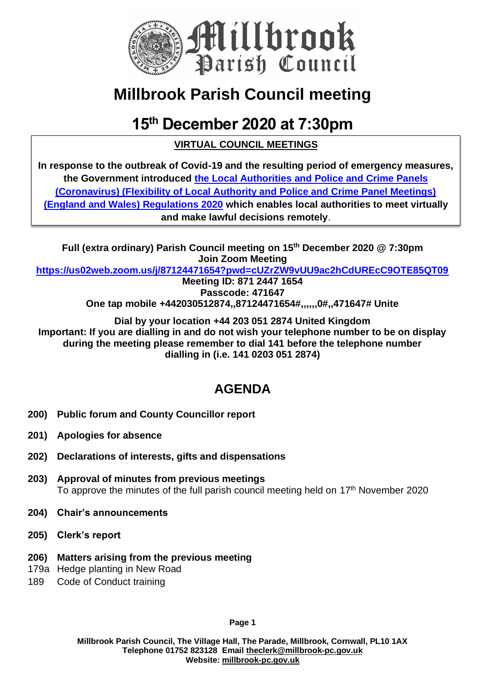

# **Millbrook Parish Council meeting**

## **15th December 2020 at 7:30pm**

**VIRTUAL COUNCIL MEETINGS**

**In response to the outbreak of Covid-19 and the resulting period of emergency measures, the Government introduced [the Local Authorities and Police and Crime Panels](https://www.legislation.gov.uk/uksi/2020/392/contents/made)  [\(Coronavirus\) \(Flexibility of Local Authority and Police and Crime Panel Meetings\)](https://www.legislation.gov.uk/uksi/2020/392/contents/made)  [\(England and Wales\) Regulations 2020](https://www.legislation.gov.uk/uksi/2020/392/contents/made) which enables local authorities to meet virtually and make lawful decisions remotely**.

**Full (extra ordinary) Parish Council meeting on 15th December 2020 @ 7:30pm Join Zoom Meeting**

**<https://us02web.zoom.us/j/87124471654?pwd=cUZrZW9vUU9ac2hCdUREcC9OTE85QT09>**

**Meeting ID: 871 2447 1654 Passcode: 471647 One tap mobile +442030512874,,87124471654#,,,,,,0#,,471647# Unite**

**Dial by your location +44 203 051 2874 United Kingdom Important: If you are dialling in and do not wish your telephone number to be on display during the meeting please remember to dial 141 before the telephone number dialling in (i.e. 141 0203 051 2874)**

### **AGENDA**

- **200) Public forum and County Councillor report**
- **201) Apologies for absence**
- **202) Declarations of interests, gifts and dispensations**
- **203) Approval of minutes from previous meetings**  To approve the minutes of the full parish council meeting held on  $17<sup>th</sup>$  November 2020
- **204) Chair's announcements**
- **205) Clerk's report**
- **206) Matters arising from the previous meeting**
- 179a Hedge planting in New Road
- 189 Code of Conduct training

**Page 1**

**Millbrook Parish Council, The Village Hall, The Parade, Millbrook, Cornwall, PL10 1AX Telephone 01752 823128 Email [theclerk@millbrook-pc.gov.uk](mailto:theclerk@millbrook-pc.gov.uk) Website[: millbrook-pc.gov.uk](https://millbrook-pc.gov.uk/)**